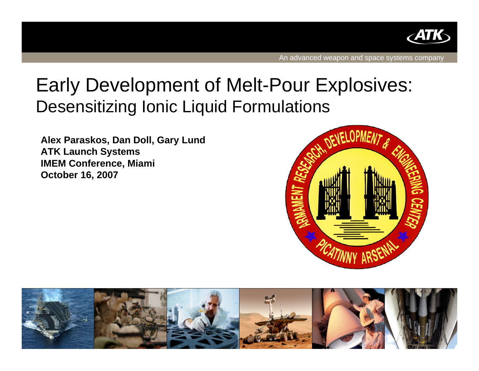

# Early Development of Melt-Pour Explosives: Desensitizing Ionic Liquid Formulations

**Alex Paraskos, Dan Doll, Gary Lund ATK Launch Systems IMEM Conference, Miami October 16, 2007**



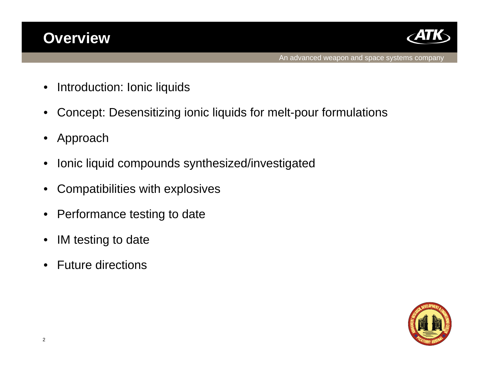## **Overview**



- Introduction: Ionic liquids
- Concept: Desensitizing ionic liquids for melt-pour formulations
- Approach
- Ionic liquid compounds synthesized/investigated
- Compatibilities with explosives
- Performance testing to date
- IM testing to date
- Future directions

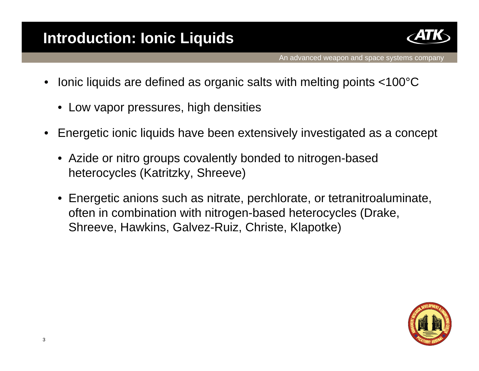

- Ionic liquids are defined as organic salts with melting points <100°C
	- Low vapor pressures, high densities
- Energetic ionic liquids have been extensively investigated as a concept
	- Azide or nitro groups covalently bonded to nitrogen-based heterocycles (Katritzky, Shreeve)
	- Energetic anions such as nitrate, perchlorate, or tetranitroaluminate, often in combination with nitrogen-based heterocycles (Drake, Shreeve, Hawkins, Galvez-Ruiz, Christe, Klapotke)

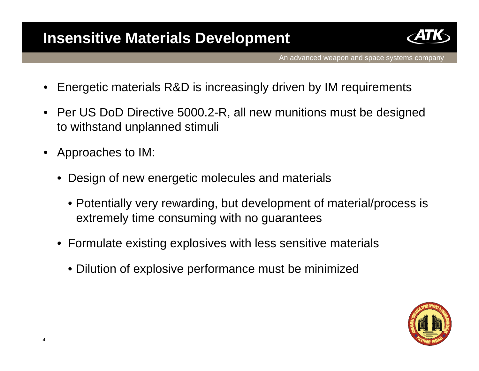#### **Insensitive Materials Development**



- Energetic materials R&D is increasingly driven by IM requirements
- Per US DoD Directive 5000.2-R, all new munitions must be designed to withstand unplanned stimuli
- Approaches to IM:
	- Design of new energetic molecules and materials
		- Potentially very rewarding, but development of material/process is extremely time consuming with no guarantees
	- Formulate existing explosives with less sensitive materials
		- Dilution of explosive performance must be minimized

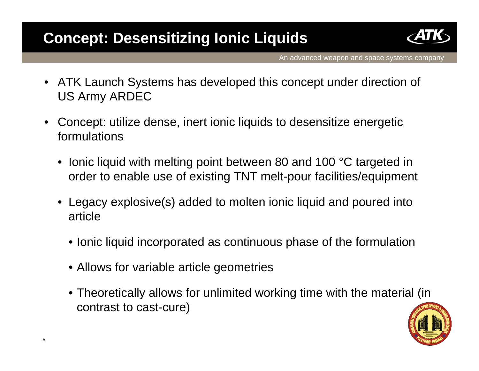## **Concept: Desensitizing Ionic Liquids**



- ATK Launch Systems has developed this concept under direction of US Army ARDEC
- Concept: utilize dense, inert ionic liquids to desensitize energetic formulations
	- Ionic liquid with melting point between 80 and 100 °C targeted in order to enable use of existing TNT melt-pour facilities/equipment
	- Legacy explosive(s) added to molten ionic liquid and poured into article
		- Ionic liquid incorporated as continuous phase of the formulation
		- Allows for variable article geometries
		- Theoretically allows for unlimited working time with the material (in contrast to cast-cure)

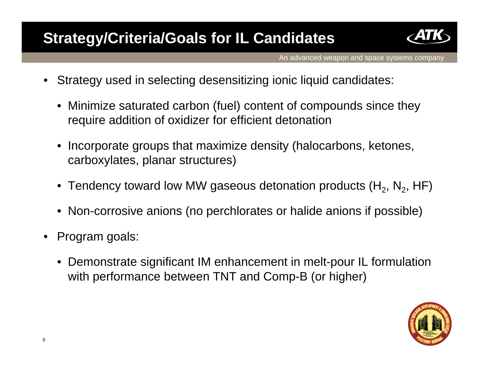## **Strategy/Criteria/Goals for IL Candidates**



- Strategy used in selecting desensitizing ionic liquid candidates:
	- Minimize saturated carbon (fuel) content of compounds since they require addition of oxidizer for efficient detonation
	- Incorporate groups that maximize density (halocarbons, ketones, carboxylates, planar structures)
	- Tendency toward low MW gaseous detonation products  $(H_2, N_2, HF)$
	- Non-corrosive anions (no perchlorates or halide anions if possible)
- Program goals:
	- Demonstrate significant IM enhancement in melt-pour IL formulation with performance between TNT and Comp-B (or higher)

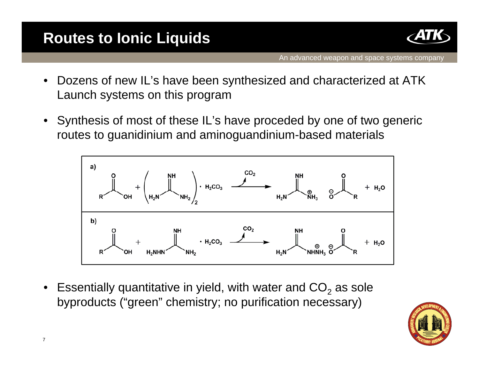## **Routes to Ionic Liquids**



- Dozens of new IL's have been synthesized and characterized at ATK Launch systems on this program
- Synthesis of most of these IL's have proceded by one of two generic routes to guanidinium and aminoguandinium-based materials



Essentially quantitative in yield, with water and  $CO<sub>2</sub>$  as sole byproducts ("green" chemistry; no purification necessary)

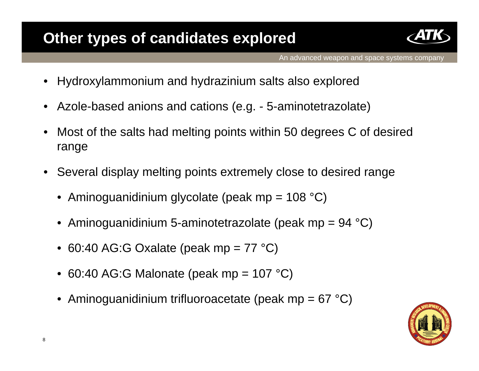## **Other types of candidates explored**



- Hydroxylammonium and hydrazinium salts also explored
- Azole-based anions and cations (e.g. 5-aminotetrazolate)
- Most of the salts had melting points within 50 degrees C of desired range
- Several display melting points extremely close to desired range
	- Aminoguanidinium glycolate (peak mp =  $108 \text{ }^{\circ}C$ )
	- Aminoguanidinium 5-aminotetrazolate (peak mp =  $94 \text{ }^{\circ}C$ )
	- 60:40 AG:G Oxalate (peak mp =  $77 \text{ }^{\circ}$ C)
	- 60:40 AG:G Malonate (peak mp =  $107 \text{ }^{\circ}C$ )
	- Aminoguanidinium trifluoroacetate (peak mp =  $67^{\circ}$ C)

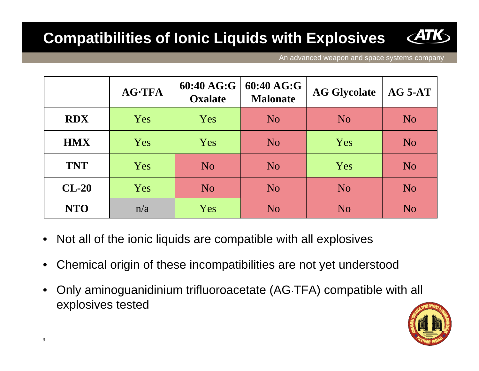## **Compatibilities of Ionic Liquids with Explosives**

|            | <b>AG-TFA</b> | 60:40 AG:G<br><b>Oxalate</b> | 60:40 AG:G<br><b>Malonate</b> | <b>AG Glycolate</b> | $AG$ 5-AT      |
|------------|---------------|------------------------------|-------------------------------|---------------------|----------------|
| <b>RDX</b> | Yes           | Yes                          | N <sub>o</sub>                | N <sub>o</sub>      | N <sub>o</sub> |
| <b>HMX</b> | Yes           | Yes                          | N <sub>o</sub>                | Yes                 | N <sub>o</sub> |
| <b>TNT</b> | Yes           | N <sub>o</sub>               | N <sub>o</sub>                | Yes                 | N <sub>o</sub> |
| $CL-20$    | Yes           | <b>No</b>                    | N <sub>o</sub>                | <b>No</b>           | N <sub>o</sub> |
| <b>NTO</b> | n/a           | Yes                          | N <sub>o</sub>                | N <sub>o</sub>      | N <sub>o</sub> |

- Not all of the ionic liquids are compatible with all explosives
- Chemical origin of these incompatibilities are not yet understood
- Only aminoguanidinium trifluoroacetate (AG·TFA) compatible with all explosives tested

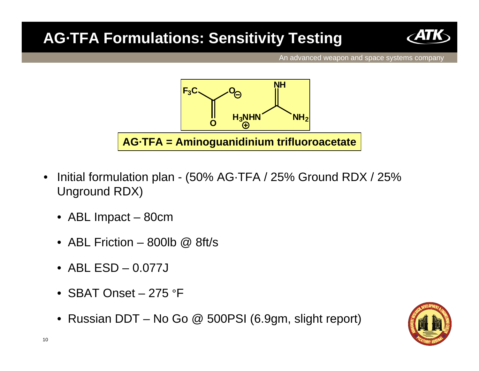## **AG·TFA Formulations: Sensitivity Testing**





- Initial formulation plan (50% AG·TFA / 25% Ground RDX / 25% Unground RDX)
	- ABL Impact 80cm
	- ABL Friction 800lb  $\omega$  8ft/s
	- ABL ESD 0.077J
	- SBAT Onset 275 °F
	- Russian DDT No Go @ 500PSI (6.9gm, slight report)

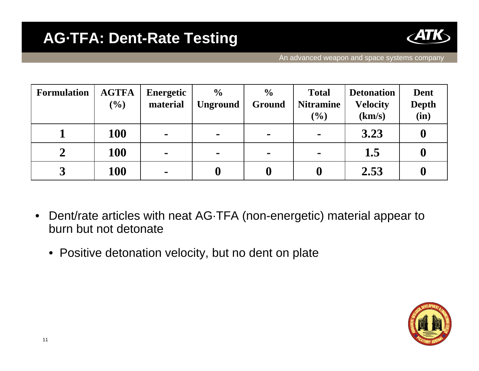

| <b>Formulation</b> | <b>AGTFA</b><br>(%) | <b>Energetic</b><br>material | $\frac{0}{0}$<br><b>Unground</b> | $\frac{6}{6}$<br>Ground | <b>Total</b><br><b>Nitramine</b><br>(%) | <b>Detonation</b><br><b>Velocity</b><br>(km/s) | Dent<br><b>Depth</b><br>(in) |
|--------------------|---------------------|------------------------------|----------------------------------|-------------------------|-----------------------------------------|------------------------------------------------|------------------------------|
|                    | <b>100</b>          | $\blacksquare$               | $\blacksquare$                   | $\blacksquare$          | $\blacksquare$                          | 3.23                                           | $\bf{0}$                     |
|                    | <b>100</b>          | $\blacksquare$               | $\blacksquare$                   | $\blacksquare$          | $\blacksquare$                          | 1.5                                            | V                            |
| $\mathbf 2$<br>لہ  | <b>100</b>          | $\blacksquare$               |                                  |                         | $\bf{0}$                                | 2.53                                           |                              |

- Dent/rate articles with neat AG·TFA (non-energetic) material appear to burn but not detonate
	- Positive detonation velocity, but no dent on plate

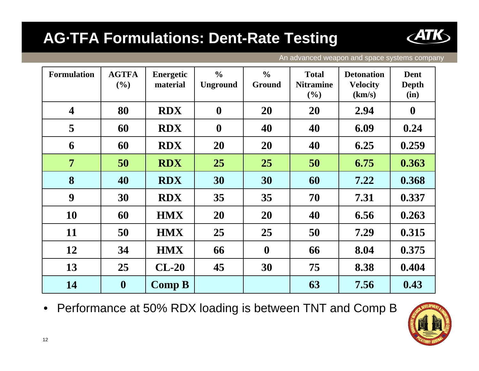## **AG·TFA Formulations: Dent-Rate Testing**



An advanced weapon and space systems company

| <b>Formulation</b>      | <b>AGTFA</b><br>(%) | <b>Energetic</b><br>material | $\frac{6}{6}$<br><b>Unground</b> | $\frac{6}{6}$<br>Ground | <b>Total</b><br><b>Nitramine</b><br>(%) | <b>Detonation</b><br><b>Velocity</b><br>(km/s) | <b>Dent</b><br><b>Depth</b><br>(in) |
|-------------------------|---------------------|------------------------------|----------------------------------|-------------------------|-----------------------------------------|------------------------------------------------|-------------------------------------|
| $\overline{\mathbf{4}}$ | 80                  | <b>RDX</b>                   | $\boldsymbol{0}$                 | 20                      | <b>20</b>                               | 2.94                                           | $\boldsymbol{0}$                    |
| 5                       | 60                  | <b>RDX</b>                   | $\boldsymbol{0}$                 | 40                      | 40                                      | 6.09                                           | 0.24                                |
| 6                       | 60                  | <b>RDX</b>                   | 20                               | 20                      | 40                                      | 6.25                                           | 0.259                               |
| $\overline{7}$          | 50                  | <b>RDX</b>                   | 25                               | 25                      | 50                                      | 6.75                                           | 0.363                               |
| 8                       | 40                  | <b>RDX</b>                   | 30                               | 30                      | 60                                      | 7.22                                           | 0.368                               |
| 9                       | 30                  | <b>RDX</b>                   | 35                               | 35                      | 70                                      | 7.31                                           | 0.337                               |
| 10                      | 60                  | <b>HMX</b>                   | 20                               | 20                      | 40                                      | 6.56                                           | 0.263                               |
| 11                      | 50                  | <b>HMX</b>                   | 25                               | 25                      | 50                                      | 7.29                                           | 0.315                               |
| 12                      | 34                  | <b>HMX</b>                   | 66                               | $\boldsymbol{0}$        | 66                                      | 8.04                                           | 0.375                               |
| 13                      | 25                  | $CL-20$                      | 45                               | 30                      | 75                                      | 8.38                                           | 0.404                               |
| 14                      | $\boldsymbol{0}$    | Comp B                       |                                  |                         | 63                                      | 7.56                                           | 0.43                                |

• Performance at 50% RDX loading is between TNT and Comp B

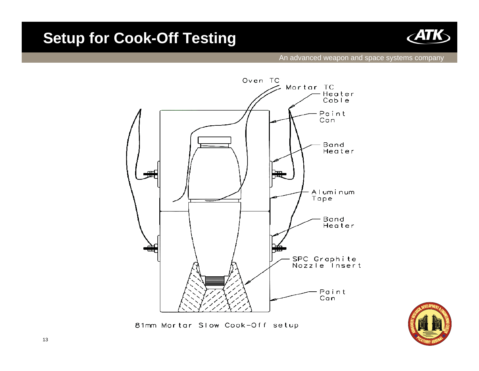#### **Setup for Cook-Off Testing**



#### An advanced weapon and space systems company





81mm Mortar Slow Cook-Off setup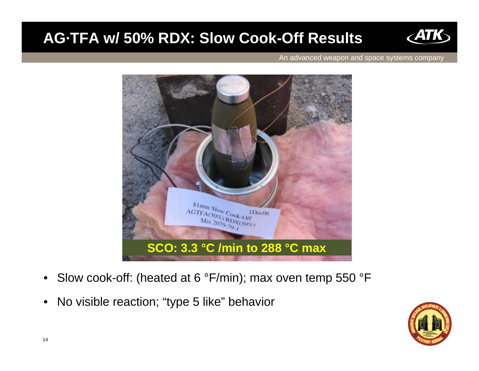### **AG·TFA w/ 50% RDX: Slow Cook-Off Results**





- Slow cook-off: (heated at 6 °F/min); max oven temp 550 °F
- No visible reaction; "type 5 like" behavior

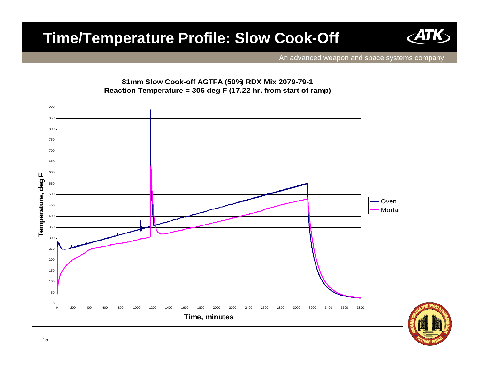### **Time/Temperature Profile: Slow Cook-Off**



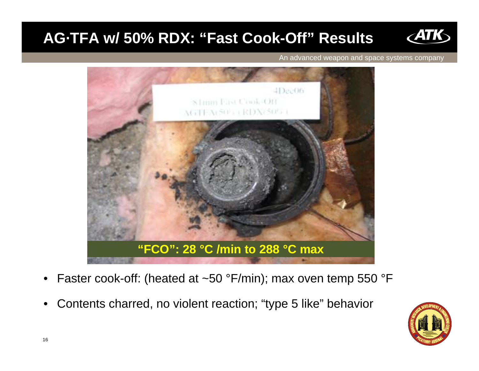## **AG·TFA w/ 50% RDX: "Fast Cook-Off" Results**



- Faster cook-off: (heated at ~50 °F/min); max oven temp 550 °F
- Contents charred, no violent reaction; "type 5 like" behavior

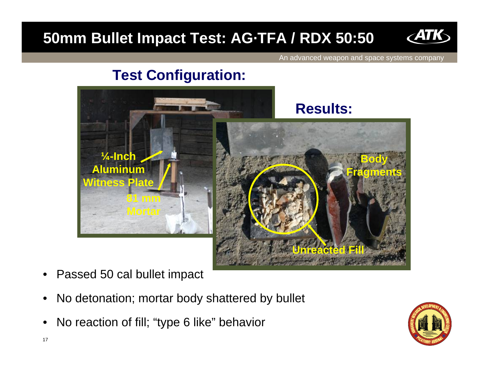## **50mm Bullet Impact Test: AG·TFA / RDX 50:50**



An advanced weapon and space systems company

#### **Test Configuration:**



- Passed 50 cal bullet impact
- No detonation; mortar body shattered by bullet
- No reaction of fill; "type 6 like" behavior

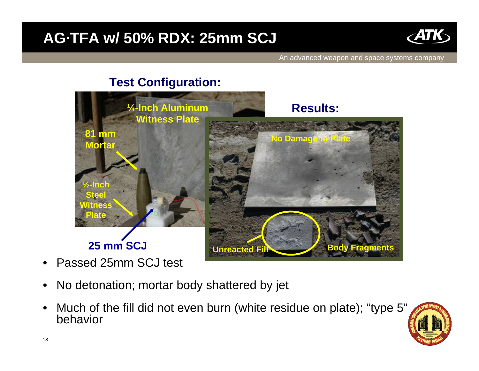### **AG·TFA w/ 50% RDX: 25mm SCJ**



An advanced weapon and space systems company

#### **Test Configuration:**



- Passed 25mm SCJ test
- No detonation; mortar body shattered by jet
- Much of the fill did not even burn (white residue on plate); "type 5" behavior

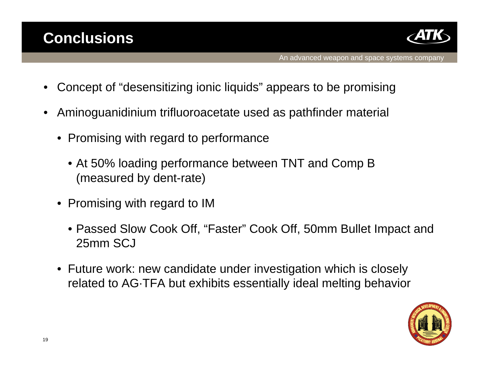

- Concept of "desensitizing ionic liquids" appears to be promising
- Aminoguanidinium trifluoroacetate used as pathfinder material
	- Promising with regard to performance
		- At 50% loading performance between TNT and Comp B (measured by dent-rate)
	- Promising with regard to IM
		- Passed Slow Cook Off, "Faster" Cook Off, 50mm Bullet Impact and 25mm SCJ
	- Future work: new candidate under investigation which is closely related to AG·TFA but exhibits essentially ideal melting behavior